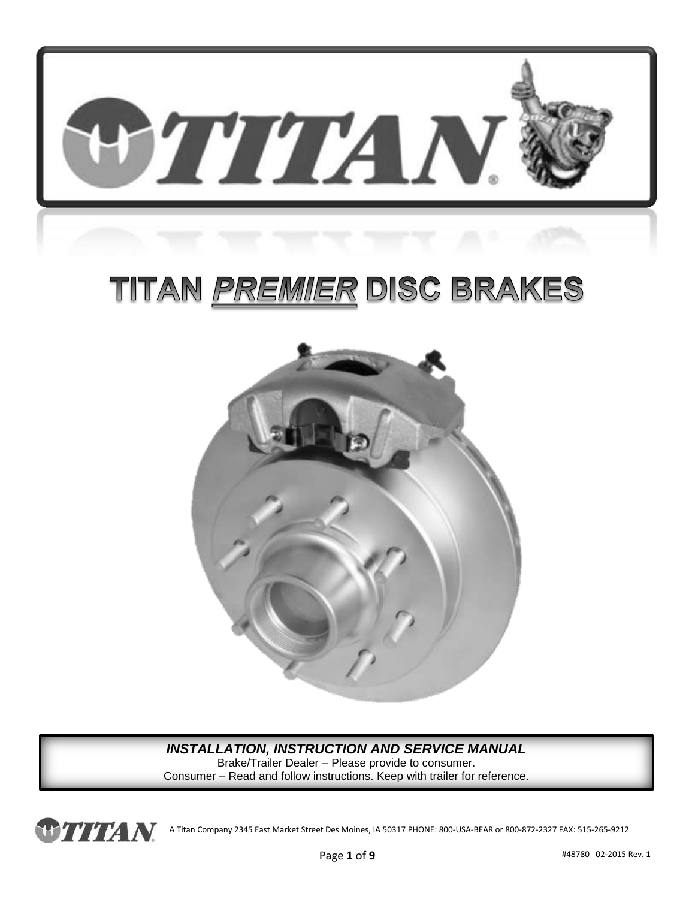

# TITAN <u>PREMIER</u> DISC BRAKES



#### *INSTALLATION, INSTRUCTION AND SERVICE MANUAL*

Brake/Trailer Dealer – Please provide to consumer. Consumer – Read and follow instructions. Keep with trailer for reference.

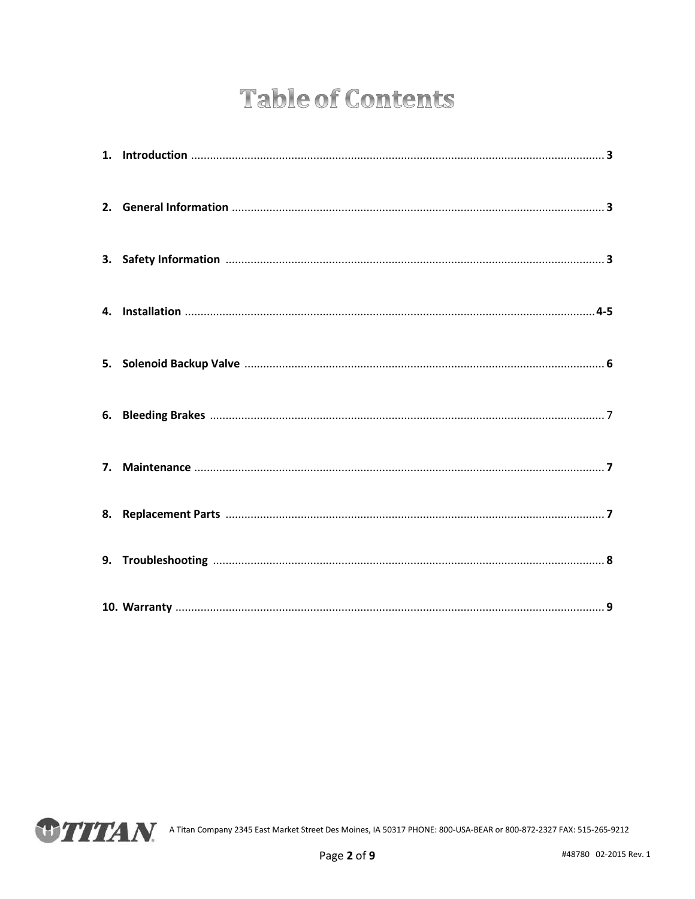## **Table of Contents**

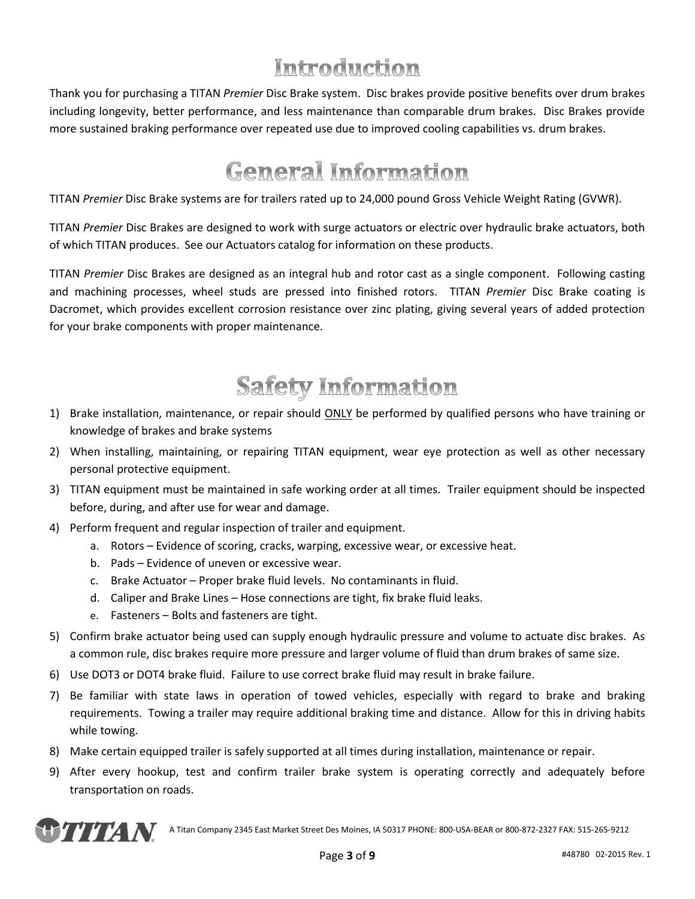## Introduction

Thank you for purchasing a TITAN *Premier* Disc Brake system. Disc brakes provide positive benefits over drum brakes including longevity, better performance, and less maintenance than comparable drum brakes. Disc Brakes provide more sustained braking performance over repeated use due to improved cooling capabilities vs. drum brakes.

## **General Information**

TITAN *Premier* Disc Brake systems are for trailers rated up to 24,000 pound Gross Vehicle Weight Rating (GVWR).

TITAN *Premier* Disc Brakes are designed to work with surge actuators or electric over hydraulic brake actuators, both of which TITAN produces. See our Actuators catalog for information on these products.

TITAN *Premier* Disc Brakes are designed as an integral hub and rotor cast as a single component. Following casting and machining processes, wheel studs are pressed into finished rotors. TITAN *Premier* Disc Brake coating is Dacromet, which provides excellent corrosion resistance over zinc plating, giving several years of added protection for your brake components with proper maintenance.

## **Safety Information**

- 1) Brake installation, maintenance, or repair should ONLY be performed by qualified persons who have training or knowledge of brakes and brake systems
- 2) When installing, maintaining, or repairing TITAN equipment, wear eye protection as well as other necessary personal protective equipment.
- 3) TITAN equipment must be maintained in safe working order at all times. Trailer equipment should be inspected before, during, and after use for wear and damage.
- 4) Perform frequent and regular inspection of trailer and equipment.
	- a. Rotors Evidence of scoring, cracks, warping, excessive wear, or excessive heat.
	- b. Pads Evidence of uneven or excessive wear.
	- c. Brake Actuator Proper brake fluid levels. No contaminants in fluid.
	- d. Caliper and Brake Lines Hose connections are tight, fix brake fluid leaks.
	- e. Fasteners Bolts and fasteners are tight.
- 5) Confirm brake actuator being used can supply enough hydraulic pressure and volume to actuate disc brakes. As a common rule, disc brakes require more pressure and larger volume of fluid than drum brakes of same size.
- 6) Use DOT3 or DOT4 brake fluid. Failure to use correct brake fluid may result in brake failure.
- 7) Be familiar with state laws in operation of towed vehicles, especially with regard to brake and braking requirements. Towing a trailer may require additional braking time and distance. Allow for this in driving habits while towing.
- 8) Make certain equipped trailer is safely supported at all times during installation, maintenance or repair.
- 9) After every hookup, test and confirm trailer brake system is operating correctly and adequately before transportation on roads.

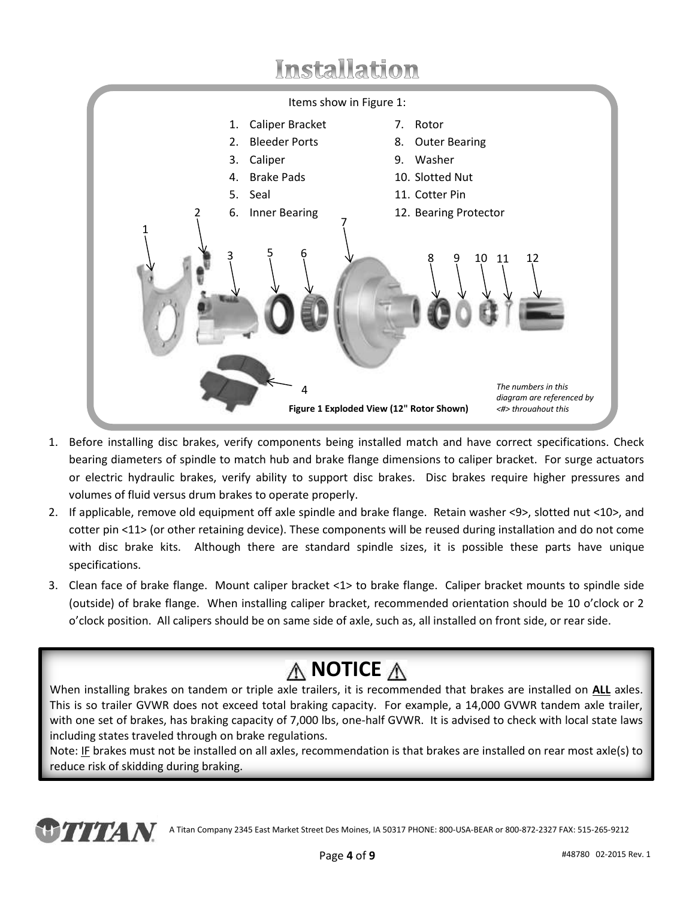## Installation



- 1. Before installing disc brakes, verify components being installed match and have correct specifications. Check bearing diameters of spindle to match hub and brake flange dimensions to caliper bracket. For surge actuators or electric hydraulic brakes, verify ability to support disc brakes. Disc brakes require higher pressures and volumes of fluid versus drum brakes to operate properly.
- 2. If applicable, remove old equipment off axle spindle and brake flange. Retain washer <9>, slotted nut <10>, and cotter pin <11> (or other retaining device). These components will be reused during installation and do not come with disc brake kits. Although there are standard spindle sizes, it is possible these parts have unique specifications.
- 3. Clean face of brake flange. Mount caliper bracket <1> to brake flange. Caliper bracket mounts to spindle side (outside) of brake flange. When installing caliper bracket, recommended orientation should be 10 o'clock or 2 o'clock position. All calipers should be on same side of axle, such as, all installed on front side, or rear side.

## **A** NOTICE **A**

When installing brakes on tandem or triple axle trailers, it is recommended that brakes are installed on **ALL** axles. This is so trailer GVWR does not exceed total braking capacity. For example, a 14,000 GVWR tandem axle trailer, with one set of brakes, has braking capacity of 7,000 lbs, one-half GVWR. It is advised to check with local state laws including states traveled through on brake regulations.

Note: IF brakes must not be installed on all axles, recommendation is that brakes are installed on rear most axle(s) to reduce risk of skidding during braking.

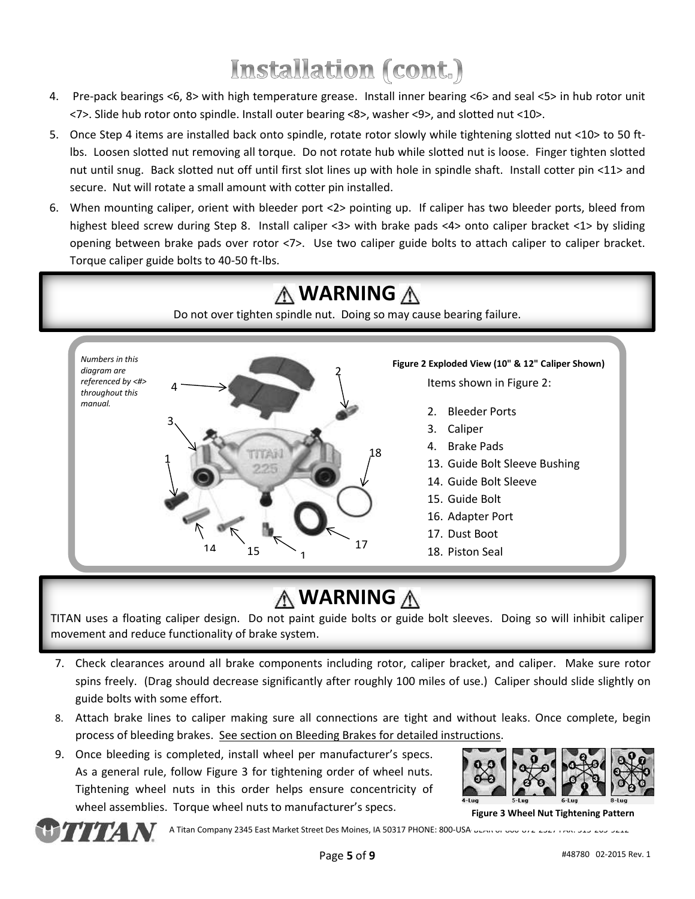# Installation (cont.)

- 4. Pre-pack bearings <6, 8> with high temperature grease. Install inner bearing <6> and seal <5> in hub rotor unit <7>. Slide hub rotor onto spindle. Install outer bearing <8>, washer <9>, and slotted nut <10>.
- 5. Once Step 4 items are installed back onto spindle, rotate rotor slowly while tightening slotted nut <10> to 50 ftlbs. Loosen slotted nut removing all torque. Do not rotate hub while slotted nut is loose. Finger tighten slotted nut until snug. Back slotted nut off until first slot lines up with hole in spindle shaft. Install cotter pin <11> and secure. Nut will rotate a small amount with cotter pin installed.
- 6. When mounting caliper, orient with bleeder port <2> pointing up. If caliper has two bleeder ports, bleed from highest bleed screw during Step 8. Install caliper <3> with brake pads <4> onto caliper bracket <1> by sliding opening between brake pads over rotor <7>. Use two caliper guide bolts to attach caliper to caliper bracket. Torque caliper guide bolts to 40-50 ft-lbs.



### **WARNING**

TITAN uses a floating caliper design. Do not paint guide bolts or guide bolt sleeves. Doing so will inhibit caliper movement and reduce functionality of brake system.

- 7. Check clearances around all brake components including rotor, caliper bracket, and caliper. Make sure rotor spins freely. (Drag should decrease significantly after roughly 100 miles of use.) Caliper should slide slightly on guide bolts with some effort.
- 8. Attach brake lines to caliper making sure all connections are tight and without leaks. Once complete, begin process of bleeding brakes. See section on Bleeding Brakes for detailed instructions.
- 9. Once bleeding is completed, install wheel per manufacturer's specs. As a general rule, follow Figure 3 for tightening order of wheel nuts. Tightening wheel nuts in this order helps ensure concentricity of wheel assemblies. Torque wheel nuts to manufacturer's specs.



**Figure 3 Wheel Nut Tightening Pattern**

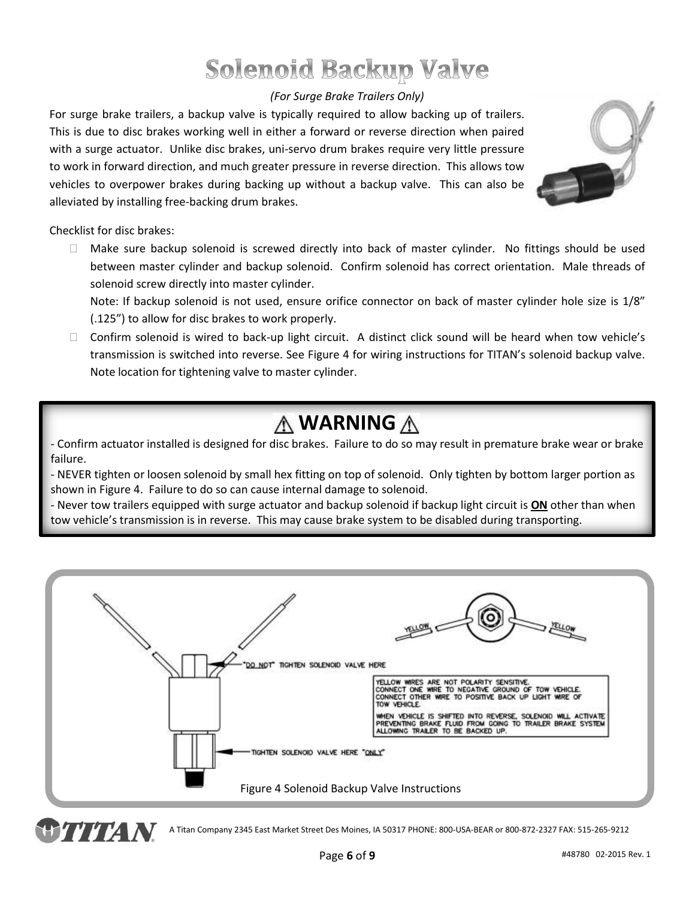## **Solenoid Backup Valve**

#### *(For Surge Brake Trailers Only)*

For surge brake trailers, a backup valve is typically required to allow backing up of trailers. This is due to disc brakes working well in either a forward or reverse direction when paired with a surge actuator. Unlike disc brakes, uni-servo drum brakes require very little pressure to work in forward direction, and much greater pressure in reverse direction. This allows tow vehicles to overpower brakes during backing up without a backup valve. This can also be alleviated by installing free-backing drum brakes.



Checklist for disc brakes:

 $\Box$  Make sure backup solenoid is screwed directly into back of master cylinder. No fittings should be used between master cylinder and backup solenoid. Confirm solenoid has correct orientation. Male threads of solenoid screw directly into master cylinder.

Note: If backup solenoid is not used, ensure orifice connector on back of master cylinder hole size is 1/8" (.125") to allow for disc brakes to work properly.

□ Confirm solenoid is wired to back-up light circuit. A distinct click sound will be heard when tow vehicle's transmission is switched into reverse. See Figure 4 for wiring instructions for TITAN's solenoid backup valve. Note location for tightening valve to master cylinder.

### **WARNING**

- Confirm actuator installed is designed for disc brakes. Failure to do so may result in premature brake wear or brake failure.

- NEVER tighten or loosen solenoid by small hex fitting on top of solenoid. Only tighten by bottom larger portion as shown in Figure 4. Failure to do so can cause internal damage to solenoid.

- Never tow trailers equipped with surge actuator and backup solenoid if backup light circuit is **ON** other than when tow vehicle's transmission is in reverse. This may cause brake system to be disabled during transporting.

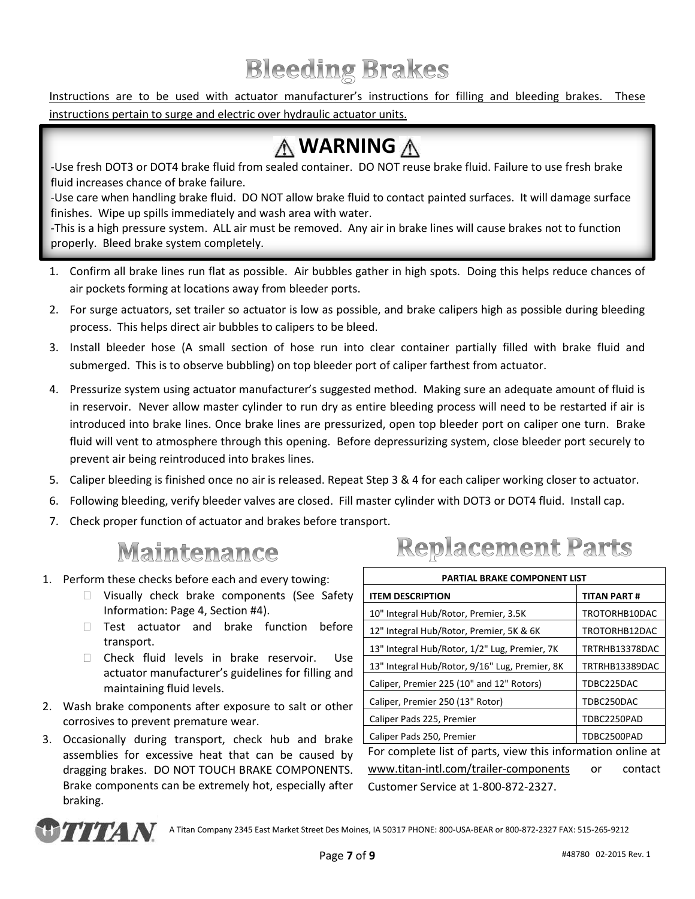## **Bleeding Brakes**

Instructions are to be used with actuator manufacturer's instructions for filling and bleeding brakes. These instructions pertain to surge and electric over hydraulic actuator units.

## **WARNING**

-Use fresh DOT3 or DOT4 brake fluid from sealed container. DO NOT reuse brake fluid. Failure to use fresh brake fluid increases chance of brake failure.

-Use care when handling brake fluid. DO NOT allow brake fluid to contact painted surfaces. It will damage surface finishes. Wipe up spills immediately and wash area with water.

-This is a high pressure system. ALL air must be removed. Any air in brake lines will cause brakes not to function properly. Bleed brake system completely.

- 1. Confirm all brake lines run flat as possible. Air bubbles gather in high spots. Doing this helps reduce chances of air pockets forming at locations away from bleeder ports.
- 2. For surge actuators, set trailer so actuator is low as possible, and brake calipers high as possible during bleeding process. This helps direct air bubbles to calipers to be bleed.
- 3. Install bleeder hose (A small section of hose run into clear container partially filled with brake fluid and submerged. This is to observe bubbling) on top bleeder port of caliper farthest from actuator.
- 4. Pressurize system using actuator manufacturer's suggested method. Making sure an adequate amount of fluid is in reservoir. Never allow master cylinder to run dry as entire bleeding process will need to be restarted if air is introduced into brake lines. Once brake lines are pressurized, open top bleeder port on caliper one turn. Brake fluid will vent to atmosphere through this opening. Before depressurizing system, close bleeder port securely to prevent air being reintroduced into brakes lines.
- 5. Caliper bleeding is finished once no air is released. Repeat Step 3 & 4 for each caliper working closer to actuator.
- 6. Following bleeding, verify bleeder valves are closed. Fill master cylinder with DOT3 or DOT4 fluid. Install cap.
- 7. Check proper function of actuator and brakes before transport.

#### **Maintenance**

- 1. Perform these checks before each and every towing:
	- □ Visually check brake components (See Safety Information: Page 4, Section #4).
	- Test actuator and brake function before transport.
	- Check fluid levels in brake reservoir. Use actuator manufacturer's guidelines for filling and maintaining fluid levels.
- 2. Wash brake components after exposure to salt or other corrosives to prevent premature wear.
- 3. Occasionally during transport, check hub and brake assemblies for excessive heat that can be caused by dragging brakes. DO NOT TOUCH BRAKE COMPONENTS. Brake components can be extremely hot, especially after braking.

## **Replacement Parts**

| PARTIAL BRAKE COMPONENT LIST                                |                |  |  |
|-------------------------------------------------------------|----------------|--|--|
| <b>ITEM DESCRIPTION</b>                                     | TITAN PART #   |  |  |
| 10" Integral Hub/Rotor, Premier, 3.5K                       | TROTORHB10DAC  |  |  |
| 12" Integral Hub/Rotor, Premier, 5K & 6K                    | TROTORHB12DAC  |  |  |
| 13" Integral Hub/Rotor, 1/2" Lug, Premier, 7K               | TRTRHB13378DAC |  |  |
| 13" Integral Hub/Rotor, 9/16" Lug, Premier, 8K              | TRTRHB13389DAC |  |  |
| Caliper, Premier 225 (10" and 12" Rotors)                   | TDBC225DAC     |  |  |
| Caliper, Premier 250 (13" Rotor)                            | TDBC250DAC     |  |  |
| Caliper Pads 225, Premier                                   | TDBC2250PAD    |  |  |
| Caliper Pads 250, Premier                                   | TDBC2500PAD    |  |  |
| For complete list of parts, view this information online at |                |  |  |
| www.titan-intl.com/trailer-components                       | contact<br>or  |  |  |
| Customer Service at 1-800-872-2327.                         |                |  |  |

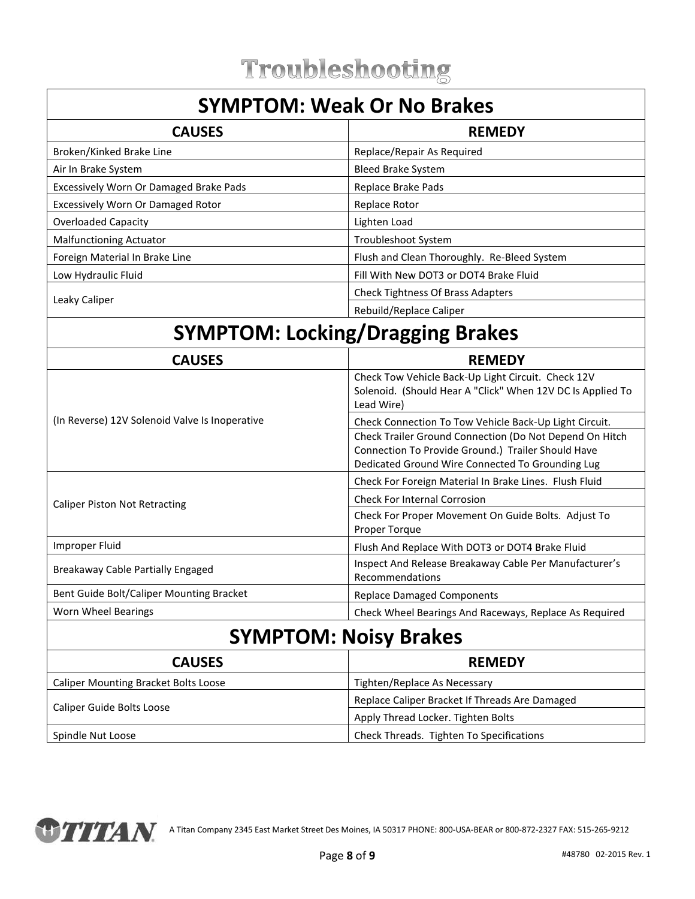#### **SYMPTOM: Weak Or No Brakes**

| <b>CAUSES</b>                                 | <b>REMEDY</b>                               |
|-----------------------------------------------|---------------------------------------------|
| Broken/Kinked Brake Line                      | Replace/Repair As Required                  |
| Air In Brake System                           | <b>Bleed Brake System</b>                   |
| <b>Excessively Worn Or Damaged Brake Pads</b> | Replace Brake Pads                          |
| Excessively Worn Or Damaged Rotor             | Replace Rotor                               |
| Overloaded Capacity                           | Lighten Load                                |
| <b>Malfunctioning Actuator</b>                | Troubleshoot System                         |
| Foreign Material In Brake Line                | Flush and Clean Thoroughly. Re-Bleed System |
| Low Hydraulic Fluid                           | Fill With New DOT3 or DOT4 Brake Fluid      |
|                                               | <b>Check Tightness Of Brass Adapters</b>    |
| Leaky Caliper                                 | Rebuild/Replace Caliper                     |

## **SYMPTOM: Locking/Dragging Brakes**

| <b>CAUSES</b>                                  | <b>REMEDY</b>                                                                                                                                                     |  |
|------------------------------------------------|-------------------------------------------------------------------------------------------------------------------------------------------------------------------|--|
|                                                | Check Tow Vehicle Back-Up Light Circuit. Check 12V<br>Solenoid. (Should Hear A "Click" When 12V DC Is Applied To<br>Lead Wire)                                    |  |
| (In Reverse) 12V Solenoid Valve Is Inoperative | Check Connection To Tow Vehicle Back-Up Light Circuit.                                                                                                            |  |
|                                                | Check Trailer Ground Connection (Do Not Depend On Hitch<br>Connection To Provide Ground.) Trailer Should Have<br>Dedicated Ground Wire Connected To Grounding Lug |  |
|                                                | Check For Foreign Material In Brake Lines. Flush Fluid                                                                                                            |  |
| <b>Caliper Piston Not Retracting</b>           | <b>Check For Internal Corrosion</b>                                                                                                                               |  |
|                                                | Check For Proper Movement On Guide Bolts. Adjust To<br>Proper Torque                                                                                              |  |
| Improper Fluid                                 | Flush And Replace With DOT3 or DOT4 Brake Fluid                                                                                                                   |  |
| Breakaway Cable Partially Engaged              | Inspect And Release Breakaway Cable Per Manufacturer's<br>Recommendations                                                                                         |  |
| Bent Guide Bolt/Caliper Mounting Bracket       | <b>Replace Damaged Components</b>                                                                                                                                 |  |
| Worn Wheel Bearings                            | Check Wheel Bearings And Raceways, Replace As Required                                                                                                            |  |
| <b>SYMPTOM: Noisy Brakes</b>                   |                                                                                                                                                                   |  |

| <b>CAUSES</b>                               | <b>REMEDY</b>                                  |  |
|---------------------------------------------|------------------------------------------------|--|
| <b>Caliper Mounting Bracket Bolts Loose</b> | Tighten/Replace As Necessary                   |  |
|                                             | Replace Caliper Bracket If Threads Are Damaged |  |
| Caliper Guide Bolts Loose                   | Apply Thread Locker. Tighten Bolts             |  |
| Spindle Nut Loose                           | Check Threads. Tighten To Specifications       |  |